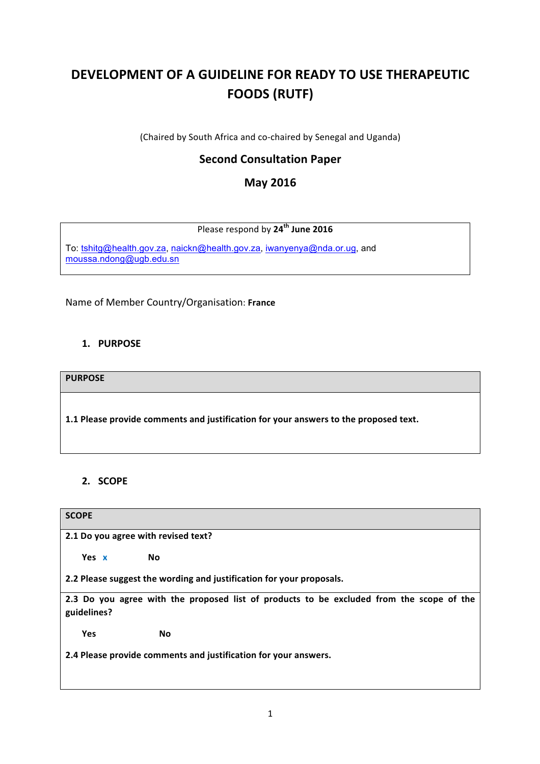# **DEVELOPMENT OF A GUIDELINE FOR READY TO USE THERAPEUTIC FOODS (RUTF)**

(Chaired by South Africa and co-chaired by Senegal and Uganda)

# **Second Consultation Paper**

# **May 2016**

# Please respond by **24th June 2016**

To: [tshitg@health.gov.za](mailto:tshitg@health.gov.za), [naickn@health.gov.za](mailto:naickn@health.gov.za), [iwanyenya@nda.or.ug](mailto:iwanyenya@nda.or.ug), and [moussa.ndong@ugb.edu.sn](mailto:moussa.ndong@ugb.edu.sn)

Name of Member Country/Organisation: France

# **1. PURPOSE**

# **PURPOSE**

**1.1 Please provide comments and justification for your answers to the proposed text.** 

# **2. SCOPE**

# **SCOPE**

**2.1 Do you agree with revised text?** 

**Yes x No** 

**2.2 Please suggest the wording and justification for your proposals.** 

**2.3** Do you agree with the proposed list of products to be excluded from the scope of the **guidelines?**

**Yes No** 

**2.4 Please provide comments and justification for your answers.**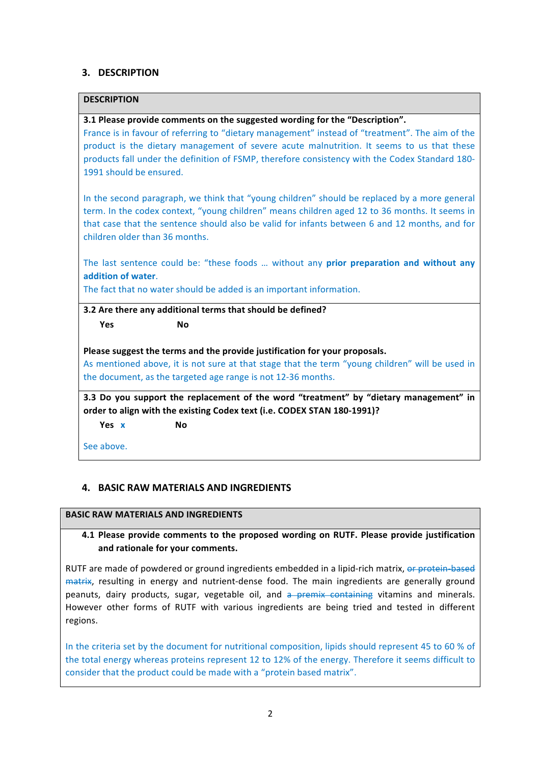## **3. DESCRIPTION**

| <b>DESCRIPTION</b>             |                                                                                                 |
|--------------------------------|-------------------------------------------------------------------------------------------------|
|                                | 3.1 Please provide comments on the suggested wording for the "Description".                     |
|                                | France is in favour of referring to "dietary management" instead of "treatment". The aim of the |
|                                | product is the dietary management of severe acute malnutrition. It seems to us that these       |
|                                | products fall under the definition of FSMP, therefore consistency with the Codex Standard 180-  |
| 1991 should be ensured.        |                                                                                                 |
|                                | In the second paragraph, we think that "young children" should be replaced by a more general    |
|                                | term. In the codex context, "young children" means children aged 12 to 36 months. It seems in   |
|                                | that case that the sentence should also be valid for infants between 6 and 12 months, and for   |
| children older than 36 months. |                                                                                                 |
|                                | The last sentence could be: "these foods  without any prior preparation and without any         |
| addition of water.             |                                                                                                 |
|                                | The fact that no water should be added is an important information.                             |
|                                | 3.2 Are there any additional terms that should be defined?                                      |
| <b>Yes</b>                     | <b>No</b>                                                                                       |
|                                | Please suggest the terms and the provide justification for your proposals.                      |
|                                | As mentioned above, it is not sure at that stage that the term "young children" will be used in |
|                                | the document, as the targeted age range is not 12-36 months.                                    |
|                                | 3.3 Do you support the replacement of the word "treatment" by "dietary management" in           |
|                                |                                                                                                 |
|                                | order to align with the existing Codex text (i.e. CODEX STAN 180-1991)?                         |
| Yes x                          | <b>No</b>                                                                                       |
| See above.                     |                                                                                                 |

# **4. BASIC RAW MATERIALS AND INGREDIENTS**

## **BASIC RAW MATERIALS AND INGREDIENTS**

# **4.1 Please provide comments to the proposed wording on RUTF. Please provide justification** and rationale for your comments.

RUTF are made of powdered or ground ingredients embedded in a lipid-rich matrix, or protein-based matrix, resulting in energy and nutrient-dense food. The main ingredients are generally ground peanuts, dairy products, sugar, vegetable oil, and a premix containing vitamins and minerals. However other forms of RUTF with various ingredients are being tried and tested in different regions. 

In the criteria set by the document for nutritional composition, lipids should represent 45 to 60 % of the total energy whereas proteins represent 12 to 12% of the energy. Therefore it seems difficult to consider that the product could be made with a "protein based matrix".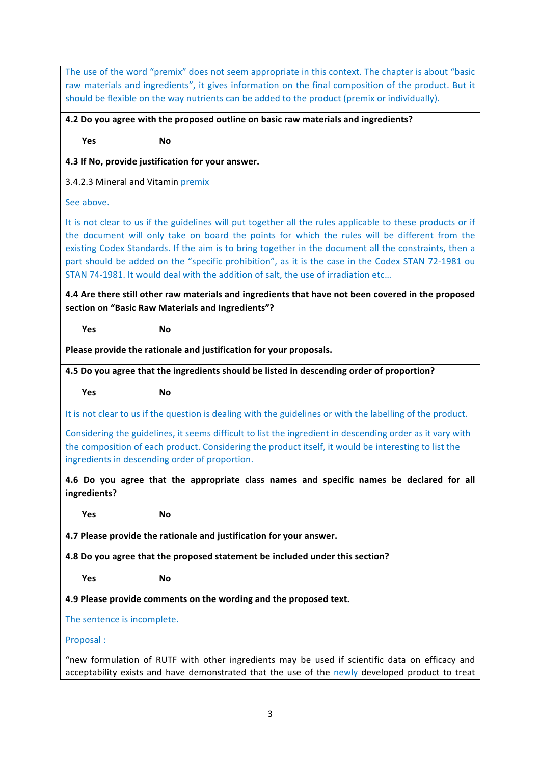The use of the word "premix" does not seem appropriate in this context. The chapter is about "basic raw materials and ingredients", it gives information on the final composition of the product. But it should be flexible on the way nutrients can be added to the product (premix or individually).

**4.2** Do you agree with the proposed outline on basic raw materials and ingredients?

**Yes No** 

**4.3 If No, provide justification for your answer.** 

3.4.2.3 Mineral and Vitamin premix

See above.

It is not clear to us if the guidelines will put together all the rules applicable to these products or if the document will only take on board the points for which the rules will be different from the existing Codex Standards. If the aim is to bring together in the document all the constraints, then a part should be added on the "specific prohibition", as it is the case in the Codex STAN 72-1981 ou STAN 74-1981. It would deal with the addition of salt, the use of irradiation etc...

**4.4** Are there still other raw materials and ingredients that have not been covered in the proposed section on "Basic Raw Materials and Ingredients"?

**Yes No** 

Please provide the rationale and justification for your proposals.

4.5 Do you agree that the ingredients should be listed in descending order of proportion?

**Yes No** 

It is not clear to us if the question is dealing with the guidelines or with the labelling of the product.

Considering the guidelines, it seems difficult to list the ingredient in descending order as it vary with the composition of each product. Considering the product itself, it would be interesting to list the ingredients in descending order of proportion.

**4.6** Do you agree that the appropriate class names and specific names be declared for all **ingredients?**

**Yes No** 

**4.7 Please provide the rationale and justification for your answer.** 

**4.8** Do you agree that the proposed statement be included under this section?

**Yes No** 

**4.9 Please provide comments on the wording and the proposed text.** 

The sentence is incomplete.

Proposal :

"new formulation of RUTF with other ingredients may be used if scientific data on efficacy and acceptability exists and have demonstrated that the use of the newly developed product to treat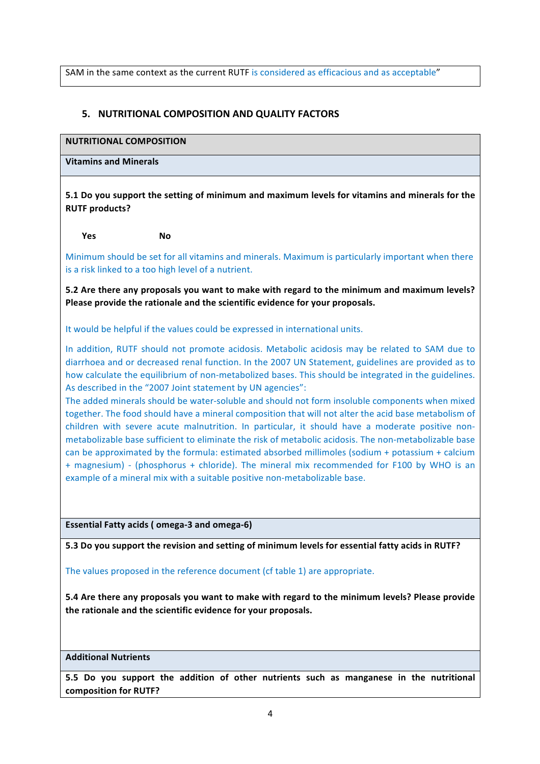SAM in the same context as the current RUTF is considered as efficacious and as acceptable"

# **5. NUTRITIONAL COMPOSITION AND QUALITY FACTORS**

## **NUTRITIONAL COMPOSITION**

## **Vitamins and Minerals**

**5.1** Do you support the setting of minimum and maximum levels for vitamins and minerals for the **RUTF** products?

**Yes No** 

Minimum should be set for all vitamins and minerals. Maximum is particularly important when there is a risk linked to a too high level of a nutrient.

**5.2** Are there any proposals you want to make with regard to the minimum and maximum levels? Please provide the rationale and the scientific evidence for your proposals.

It would be helpful if the values could be expressed in international units.

In addition, RUTF should not promote acidosis. Metabolic acidosis may be related to SAM due to diarrhoea and or decreased renal function. In the 2007 UN Statement, guidelines are provided as to how calculate the equilibrium of non-metabolized bases. This should be integrated in the guidelines. As described in the "2007 Joint statement by UN agencies":

The added minerals should be water-soluble and should not form insoluble components when mixed together. The food should have a mineral composition that will not alter the acid base metabolism of children with severe acute malnutrition. In particular, it should have a moderate positive nonmetabolizable base sufficient to eliminate the risk of metabolic acidosis. The non-metabolizable base can be approximated by the formula: estimated absorbed millimoles (sodium + potassium + calcium + magnesium) - (phosphorus + chloride). The mineral mix recommended for F100 by WHO is an example of a mineral mix with a suitable positive non-metabolizable base.

Essential Fatty acids (omega-3 and omega-6)

**5.3** Do you support the revision and setting of minimum levels for essential fatty acids in RUTF?

The values proposed in the reference document (cf table 1) are appropriate.

**5.4** Are there any proposals you want to make with regard to the minimum levels? Please provide the rationale and the scientific evidence for your proposals.

## **Additional Nutrients**

**5.5** Do you support the addition of other nutrients such as manganese in the nutritional composition for **RUTF?**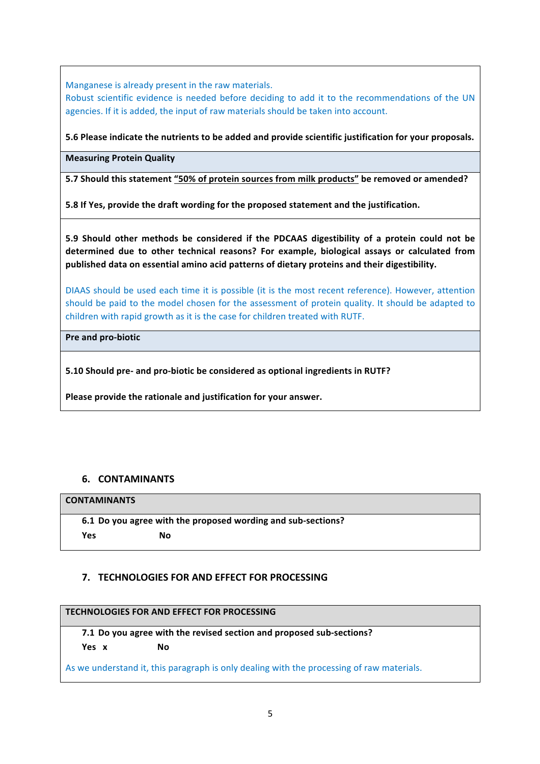Manganese is already present in the raw materials.

Robust scientific evidence is needed before deciding to add it to the recommendations of the UN agencies. If it is added, the input of raw materials should be taken into account.

## **5.6 Please indicate the nutrients to be added and provide scientific iustification for your proposals.**

**Measuring Protein Quality**

5.7 Should this statement "50% of protein sources from milk products" be removed or amended?

**5.8** If Yes, provide the draft wording for the proposed statement and the justification.

**5.9** Should other methods be considered if the PDCAAS digestibility of a protein could not be determined due to other technical reasons? For example, biological assays or calculated from published data on essential amino acid patterns of dietary proteins and their digestibility.

DIAAS should be used each time it is possible (it is the most recent reference). However, attention should be paid to the model chosen for the assessment of protein quality. It should be adapted to children with rapid growth as it is the case for children treated with RUTF.

**Pre and pro-biotic** 

**5.10 Should pre- and pro-biotic be considered as optional ingredients in RUTF?**

Please provide the rationale and justification for your answer.

# **6. CONTAMINANTS**

# **CONTAMINANTS 6.1 Do you agree with the proposed wording and sub-sections? Yes No**

# **7. TECHNOLOGIES FOR AND EFFECT FOR PROCESSING**

# **TECHNOLOGIES FOR AND EFFECT FOR PROCESSING**

**7.1** Do you agree with the revised section and proposed sub-sections?

**Yes x No** 

As we understand it, this paragraph is only dealing with the processing of raw materials.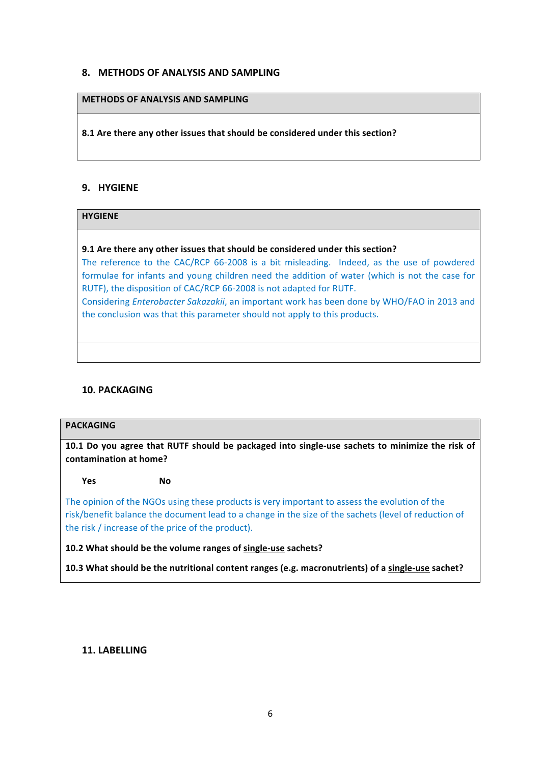## **8. METHODS OF ANALYSIS AND SAMPLING**

#### **METHODS OF ANALYSIS AND SAMPLING**

**8.1** Are there any other issues that should be considered under this section?

## **9. HYGIENE**

#### **HYGIENE**

## 9.1 Are there any other issues that should be considered under this section?

The reference to the CAC/RCP 66-2008 is a bit misleading. Indeed, as the use of powdered formulae for infants and young children need the addition of water (which is not the case for RUTF), the disposition of CAC/RCP 66-2008 is not adapted for RUTF.

Considering *Enterobacter Sakazakii*, an important work has been done by WHO/FAO in 2013 and the conclusion was that this parameter should not apply to this products.

#### **10. PACKAGING**

#### **PACKAGING**

**10.1** Do you agree that RUTF should be packaged into single-use sachets to minimize the risk of **contamination at home?**

**Yes No** 

The opinion of the NGOs using these products is very important to assess the evolution of the risk/benefit balance the document lead to a change in the size of the sachets (level of reduction of the risk / increase of the price of the product).

#### 10.2 What should be the volume ranges of single-use sachets?

10.3 What should be the nutritional content ranges (e.g. macronutrients) of a single-use sachet?

# **11. LABELLING**